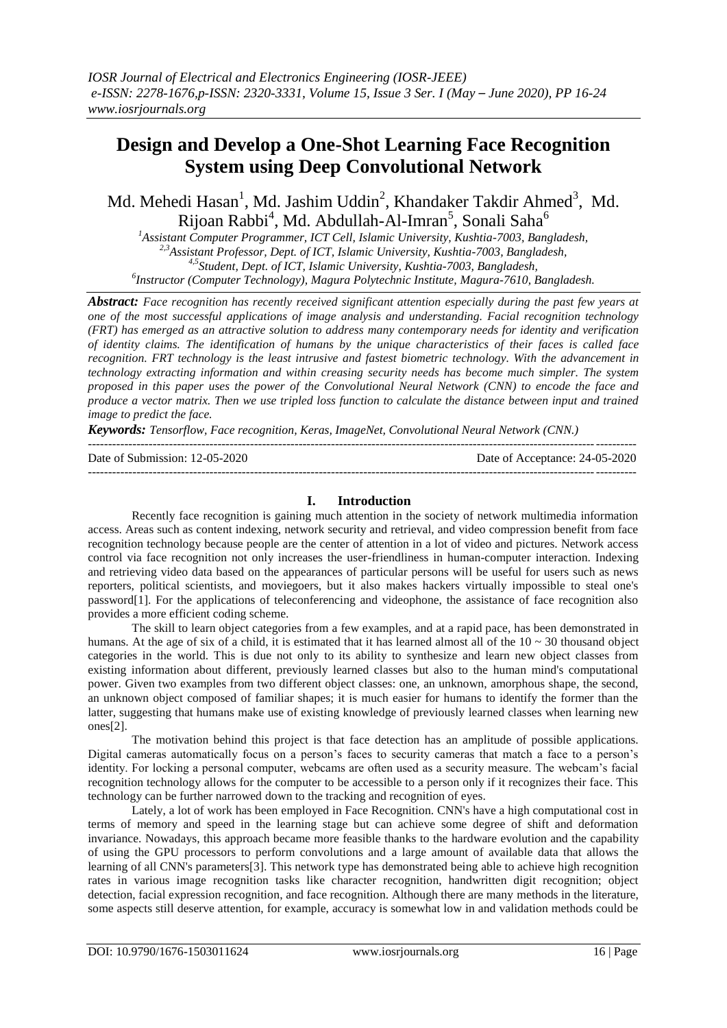# **Design and Develop a One-Shot Learning Face Recognition System using Deep Convolutional Network**

Md. Mehedi Hasan<sup>1</sup>, Md. Jashim Uddin<sup>2</sup>, Khandaker Takdir Ahmed<sup>3</sup>, Md. Rijoan Rabbi<sup>4</sup>, Md. Abdullah-Al-Imran<sup>5</sup>, Sonali Saha<sup>6</sup>

*<sup>1</sup>Assistant Computer Programmer, ICT Cell, Islamic University, Kushtia-7003, Bangladesh, 2,3Assistant Professor, Dept. of ICT, Islamic University, Kushtia-7003, Bangladesh, 4,5Student, Dept. of ICT, Islamic University, Kushtia-7003, Bangladesh, 6 Instructor (Computer Technology), Magura Polytechnic Institute, Magura-7610, Bangladesh.*

*Abstract: Face recognition has recently received significant attention especially during the past few years at one of the most successful applications of image analysis and understanding. Facial recognition technology (FRT) has emerged as an attractive solution to address many contemporary needs for identity and verification of identity claims. The identification of humans by the unique characteristics of their faces is called face recognition. FRT technology is the least intrusive and fastest biometric technology. With the advancement in technology extracting information and within creasing security needs has become much simpler. The system proposed in this paper uses the power of the Convolutional Neural Network (CNN) to encode the face and produce a vector matrix. Then we use tripled loss function to calculate the distance between input and trained image to predict the face.*

*Keywords: Tensorflow, Face recognition, Keras, ImageNet, Convolutional Neural Network (CNN.)*

 $-1\leq i\leq n-1$ 

```
Date of Submission: 12-05-2020 Date of Acceptance: 24-05-2020
---------------------------------------------------------------------------------------------------------------------------------------
```
#### **I. Introduction**

Recently face recognition is gaining much attention in the society of network multimedia information access. Areas such as content indexing, network security and retrieval, and video compression benefit from face recognition technology because people are the center of attention in a lot of video and pictures. Network access control via face recognition not only increases the user-friendliness in human-computer interaction. Indexing and retrieving video data based on the appearances of particular persons will be useful for users such as news reporters, political scientists, and moviegoers, but it also makes hackers virtually impossible to steal one's password[1]. For the applications of teleconferencing and videophone, the assistance of face recognition also provides a more efficient coding scheme.

The skill to learn object categories from a few examples, and at a rapid pace, has been demonstrated in humans. At the age of six of a child, it is estimated that it has learned almost all of the  $10 \sim 30$  thousand object categories in the world. This is due not only to its ability to synthesize and learn new object classes from existing information about different, previously learned classes but also to the human mind's computational power. Given two examples from two different object classes: one, an unknown, amorphous shape, the second, an unknown object composed of familiar shapes; it is much easier for humans to identify the former than the latter, suggesting that humans make use of existing knowledge of previously learned classes when learning new ones[2].

The motivation behind this project is that face detection has an amplitude of possible applications. Digital cameras automatically focus on a person's faces to security cameras that match a face to a person's identity. For locking a personal computer, webcams are often used as a security measure. The webcam's facial recognition technology allows for the computer to be accessible to a person only if it recognizes their face. This technology can be further narrowed down to the tracking and recognition of eyes.

Lately, a lot of work has been employed in Face Recognition. CNN's have a high computational cost in terms of memory and speed in the learning stage but can achieve some degree of shift and deformation invariance. Nowadays, this approach became more feasible thanks to the hardware evolution and the capability of using the GPU processors to perform convolutions and a large amount of available data that allows the learning of all CNN's parameters[3]. This network type has demonstrated being able to achieve high recognition rates in various image recognition tasks like character recognition, handwritten digit recognition; object detection, facial expression recognition, and face recognition. Although there are many methods in the literature, some aspects still deserve attention, for example, accuracy is somewhat low in and validation methods could be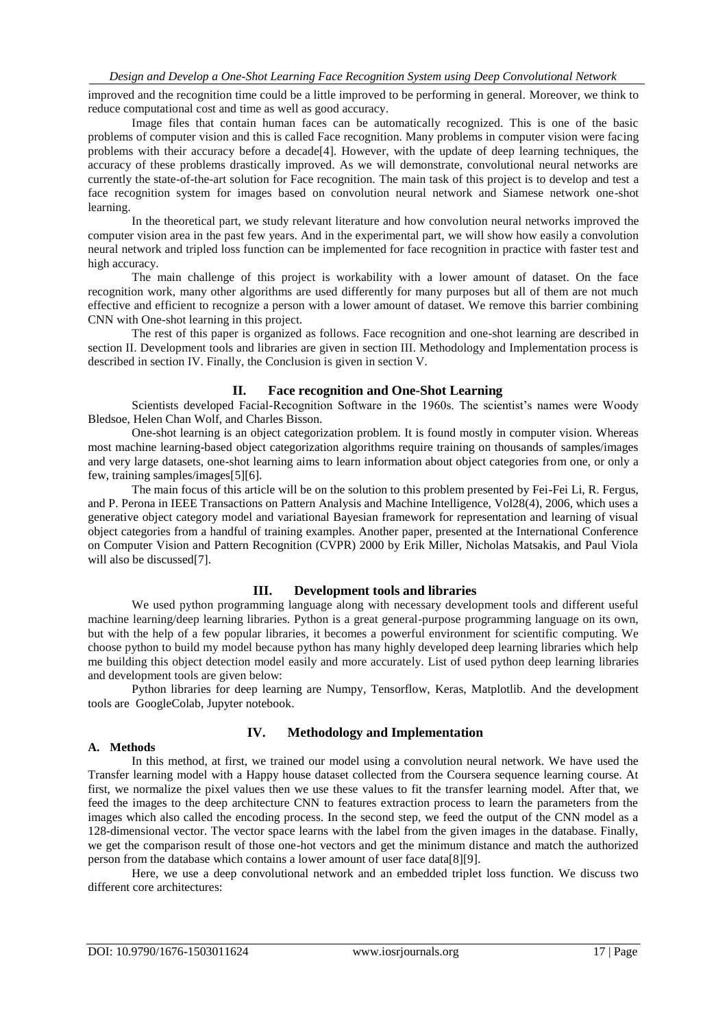improved and the recognition time could be a little improved to be performing in general. Moreover, we think to reduce computational cost and time as well as good accuracy.

Image files that contain human faces can be automatically recognized. This is one of the basic problems of computer vision and this is called Face recognition. Many problems in computer vision were facing problems with their accuracy before a decade[4]. However, with the update of deep learning techniques, the accuracy of these problems drastically improved. As we will demonstrate, convolutional neural networks are currently the state-of-the-art solution for Face recognition. The main task of this project is to develop and test a face recognition system for images based on convolution neural network and Siamese network one-shot learning.

In the theoretical part, we study relevant literature and how convolution neural networks improved the computer vision area in the past few years. And in the experimental part, we will show how easily a convolution neural network and tripled loss function can be implemented for face recognition in practice with faster test and high accuracy.

The main challenge of this project is workability with a lower amount of dataset. On the face recognition work, many other algorithms are used differently for many purposes but all of them are not much effective and efficient to recognize a person with a lower amount of dataset. We remove this barrier combining CNN with One-shot learning in this project.

The rest of this paper is organized as follows. Face recognition and one-shot learning are described in section II. Development tools and libraries are given in section III. Methodology and Implementation process is described in section IV. Finally, the Conclusion is given in section V.

#### **II. Face recognition and One-Shot Learning**

Scientists developed Facial-Recognition Software in the 1960s. The scientist's names were Woody Bledsoe, Helen Chan Wolf, and Charles Bisson.

One-shot learning is an object categorization problem. It is found mostly in computer vision. Whereas most machine learning-based object categorization algorithms require training on thousands of samples/images and very large datasets, one-shot learning aims to learn information about object categories from one, or only a few, training samples/images[5][6].

The main focus of this article will be on the solution to this problem presented by Fei-Fei Li, R. Fergus, and P. Perona in IEEE Transactions on Pattern Analysis and Machine Intelligence, Vol28(4), 2006, which uses a generative object category model and variational Bayesian framework for representation and learning of visual object categories from a handful of training examples. Another paper, presented at the International Conference on Computer Vision and Pattern Recognition (CVPR) 2000 by Erik Miller, Nicholas Matsakis, and Paul Viola will also be discussed[7].

### **III. Development tools and libraries**

We used python programming language along with necessary development tools and different useful machine learning/deep learning libraries. Python is a great general-purpose programming language on its own, but with the help of a few popular libraries, it becomes a powerful environment for scientific computing. We choose python to build my model because python has many highly developed deep learning libraries which help me building this object detection model easily and more accurately. List of used python deep learning libraries and development tools are given below:

Python libraries for deep learning are Numpy, Tensorflow, Keras, Matplotlib. And the development tools are GoogleColab, Jupyter notebook.

#### **A. Methods**

# **IV. Methodology and Implementation**

In this method, at first, we trained our model using a convolution neural network. We have used the Transfer learning model with a Happy house dataset collected from the Coursera sequence learning course. At first, we normalize the pixel values then we use these values to fit the transfer learning model. After that, we feed the images to the deep architecture CNN to features extraction process to learn the parameters from the images which also called the encoding process. In the second step, we feed the output of the CNN model as a 128-dimensional vector. The vector space learns with the label from the given images in the database. Finally, we get the comparison result of those one-hot vectors and get the minimum distance and match the authorized person from the database which contains a lower amount of user face data[8][9].

Here, we use a deep convolutional network and an embedded triplet loss function. We discuss two different core architectures: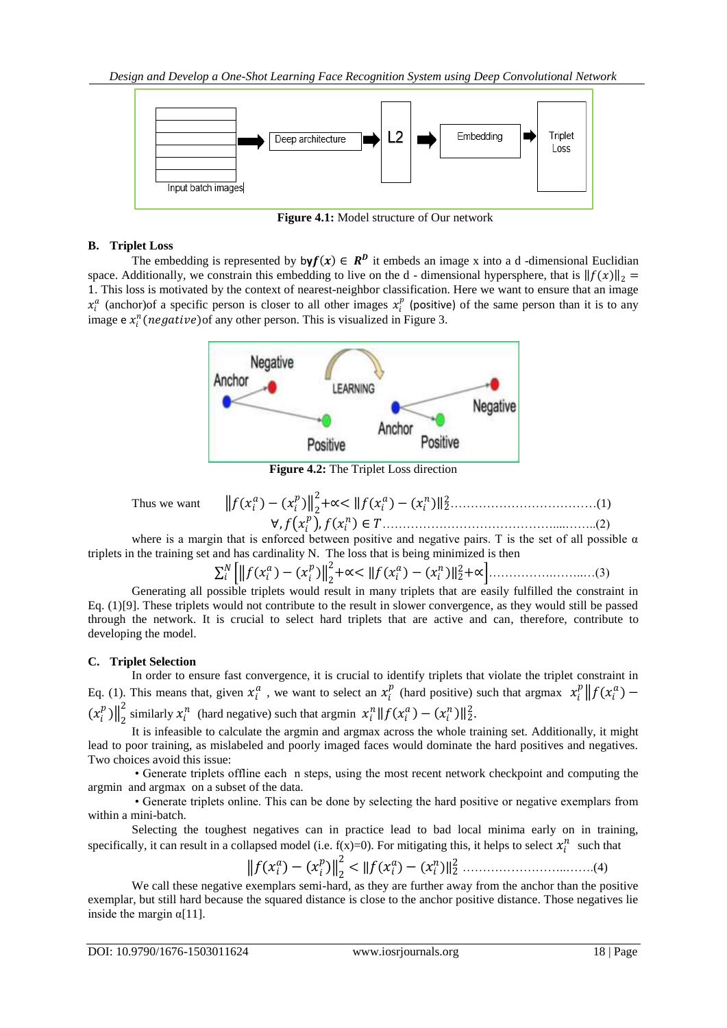

**Figure 4.1:** Model structure of Our network

# **B. Triplet Loss**

The embedding is represented by  $\mathsf{by} f(x) \in \mathbb{R}^p$  it embeds an image x into a d-dimensional Euclidian space. Additionally, we constrain this embedding to live on the d - dimensional hypersphere, that is  $|| f(x) ||_2 =$ 1. This loss is motivated by the context of nearest-neighbor classification. Here we want to ensure that an image  $x_i^a$  (anchor)of a specific person is closer to all other images  $x_i^p$  (positive) of the same person than it is to any image  $e x_i^n (negative)$  of any other person. This is visualized in Figure 3.



**Figure 4.2:** The Triplet Loss direction

Thus we want  $\|f\|$ 

 ) − ( ) 2 2 +∝< ( ) − ( ) <sup>2</sup> <sup>2</sup>………………………………(1) ∀, , ∈ ……………………………………....……..(2)

where is a margin that is enforced between positive and negative pairs. T is the set of all possible  $\alpha$ triplets in the training set and has cardinality N. The loss that is being minimized is then

$$
\sum_{i}^{N} \left[ \left\| f(x_{i}^{a}) - (x_{i}^{p}) \right\|_{2}^{2} + \infty < \left\| f(x_{i}^{a}) - (x_{i}^{n}) \right\|_{2}^{2} + \infty \right]. \tag{3}
$$

Generating all possible triplets would result in many triplets that are easily fulfilled the constraint in Eq. (1)[9]. These triplets would not contribute to the result in slower convergence, as they would still be passed through the network. It is crucial to select hard triplets that are active and can, therefore, contribute to developing the model.

# **C. Triplet Selection**

In order to ensure fast convergence, it is crucial to identify triplets that violate the triplet constraint in Eq. (1). This means that, given  $x_i^a$ , we want to select an  $x_i^p$  (hard positive) such that argmax  $x_i^p || f(x_i^a) (x_i^p)\big\|_2^2$ <sup>2</sup> similarly  $x_i^n$  (hard negative) such that argmin  $x_i^n || f(x_i^a) - (x_i^n) ||_2^2$ .

It is infeasible to calculate the argmin and argmax across the whole training set. Additionally, it might lead to poor training, as mislabeled and poorly imaged faces would dominate the hard positives and negatives. Two choices avoid this issue:

• Generate triplets offline each n steps, using the most recent network checkpoint and computing the argmin and argmax on a subset of the data.

• Generate triplets online. This can be done by selecting the hard positive or negative exemplars from within a mini-batch.

Selecting the toughest negatives can in practice lead to bad local minima early on in training, specifically, it can result in a collapsed model (i.e.  $f(x)=0$ ). For mitigating this, it helps to select  $x_i^n$  such that

$$
||f(x_i^a) - (x_i^p)||_2^2 < ||f(x_i^a) - (x_i^n)||_2^2
$$
............(4)

We call these negative exemplars semi-hard, as they are further away from the anchor than the positive exemplar, but still hard because the squared distance is close to the anchor positive distance. Those negatives lie inside the margin  $\alpha$ [11].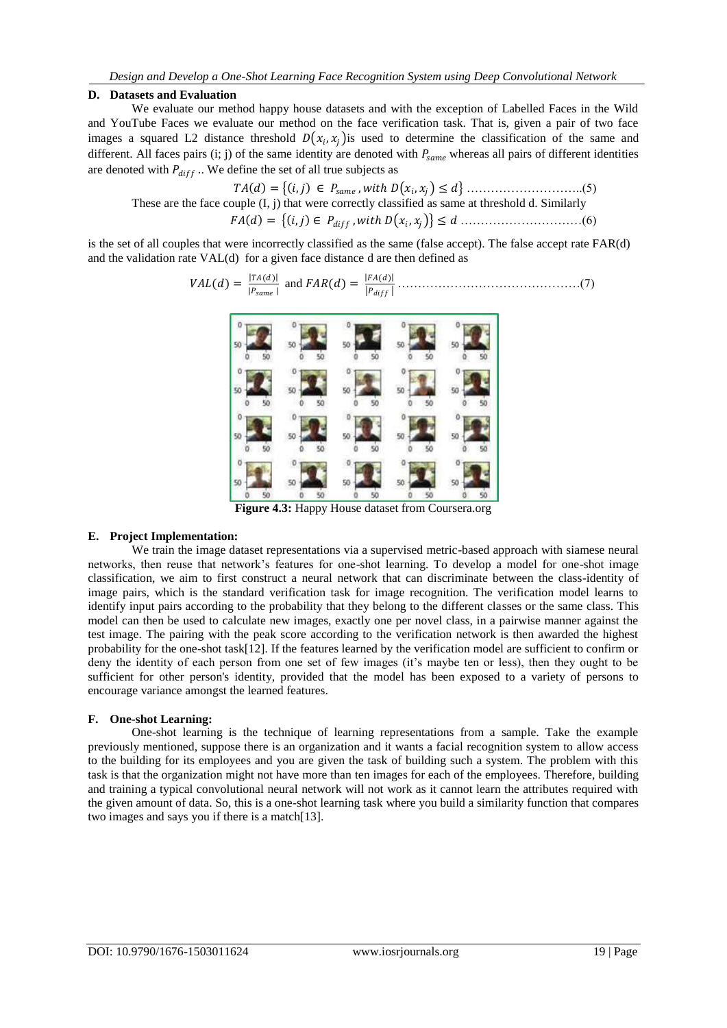#### **D. Datasets and Evaluation**

We evaluate our method happy house datasets and with the exception of Labelled Faces in the Wild and YouTube Faces we evaluate our method on the face verification task. That is, given a pair of two face images a squared L2 distance threshold  $D(x_i, x_j)$  is used to determine the classification of the same and different. All faces pairs (i; j) of the same identity are denoted with  $P_{same}$  whereas all pairs of different identities are denoted with  $P_{diff}$ .. We define the set of all true subjects as

 = , ∈ , , ≤ ………………………..(5) These are the face couple (I, j) that were correctly classified as same at threshold d. Similarly = , ∈ , , ≤ …………………………(6)

is the set of all couples that were incorrectly classified as the same (false accept). The false accept rate FAR(d) and the validation rate VAL(d) for a given face distance d are then defined as

 = () and = () ………………………………………(7)



**Figure 4.3:** Happy House dataset from Coursera.org

#### **E. Project Implementation:**

We train the image dataset representations via a supervised metric-based approach with siamese neural networks, then reuse that network's features for one-shot learning. To develop a model for one-shot image classification, we aim to first construct a neural network that can discriminate between the class-identity of image pairs, which is the standard verification task for image recognition. The verification model learns to identify input pairs according to the probability that they belong to the different classes or the same class. This model can then be used to calculate new images, exactly one per novel class, in a pairwise manner against the test image. The pairing with the peak score according to the verification network is then awarded the highest probability for the one-shot task[12]. If the features learned by the verification model are sufficient to confirm or deny the identity of each person from one set of few images (it's maybe ten or less), then they ought to be sufficient for other person's identity, provided that the model has been exposed to a variety of persons to encourage variance amongst the learned features.

#### **F. One-shot Learning:**

One-shot learning is the technique of learning representations from a sample. Take the example previously mentioned, suppose there is an organization and it wants a facial recognition system to allow access to the building for its employees and you are given the task of building such a system. The problem with this task is that the organization might not have more than ten images for each of the employees. Therefore, building and training a typical convolutional neural network will not work as it cannot learn the attributes required with the given amount of data. So, this is a one-shot learning task where you build a similarity function that compares two images and says you if there is a match[13].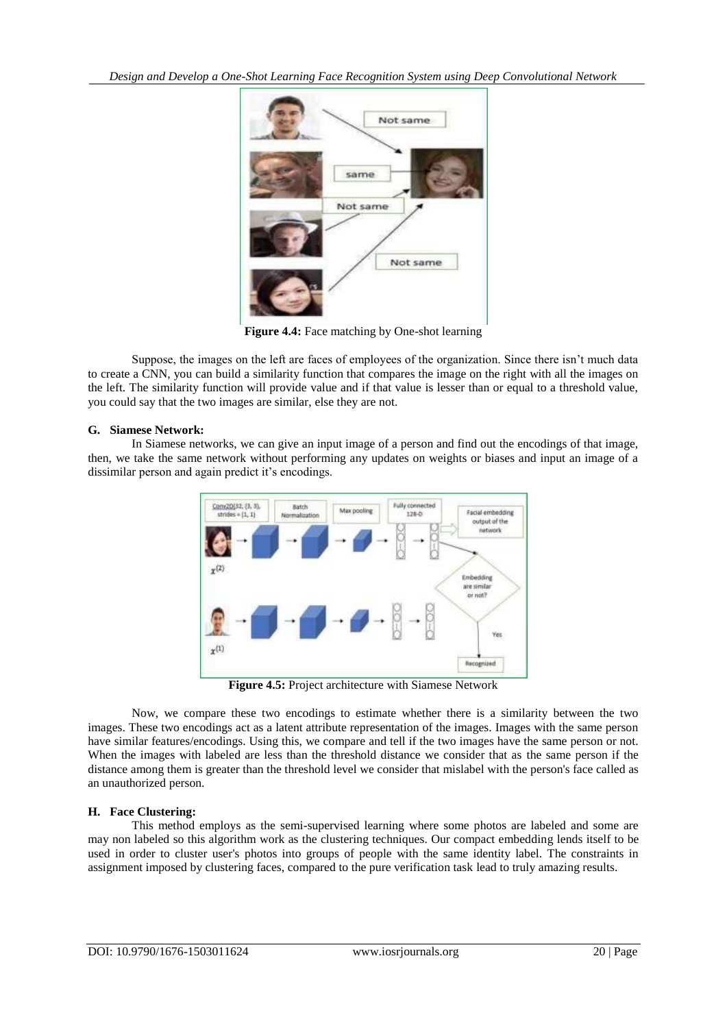

**Figure 4.4:** Face matching by One-shot learning

Suppose, the images on the left are faces of employees of the organization. Since there isn't much data to create a CNN, you can build a similarity function that compares the image on the right with all the images on the left. The similarity function will provide value and if that value is lesser than or equal to a threshold value, you could say that the two images are similar, else they are not.

#### **G. Siamese Network:**

In Siamese networks, we can give an input image of a person and find out the encodings of that image, then, we take the same network without performing any updates on weights or biases and input an image of a dissimilar person and again predict it's encodings.



**Figure 4.5:** Project architecture with Siamese Network

Now, we compare these two encodings to estimate whether there is a similarity between the two images. These two encodings act as a latent attribute representation of the images. Images with the same person have similar features/encodings. Using this, we compare and tell if the two images have the same person or not. When the images with labeled are less than the threshold distance we consider that as the same person if the distance among them is greater than the threshold level we consider that mislabel with the person's face called as an unauthorized person.

#### **H. Face Clustering:**

This method employs as the semi-supervised learning where some photos are labeled and some are may non labeled so this algorithm work as the clustering techniques. Our compact embedding lends itself to be used in order to cluster user's photos into groups of people with the same identity label. The constraints in assignment imposed by clustering faces, compared to the pure verification task lead to truly amazing results.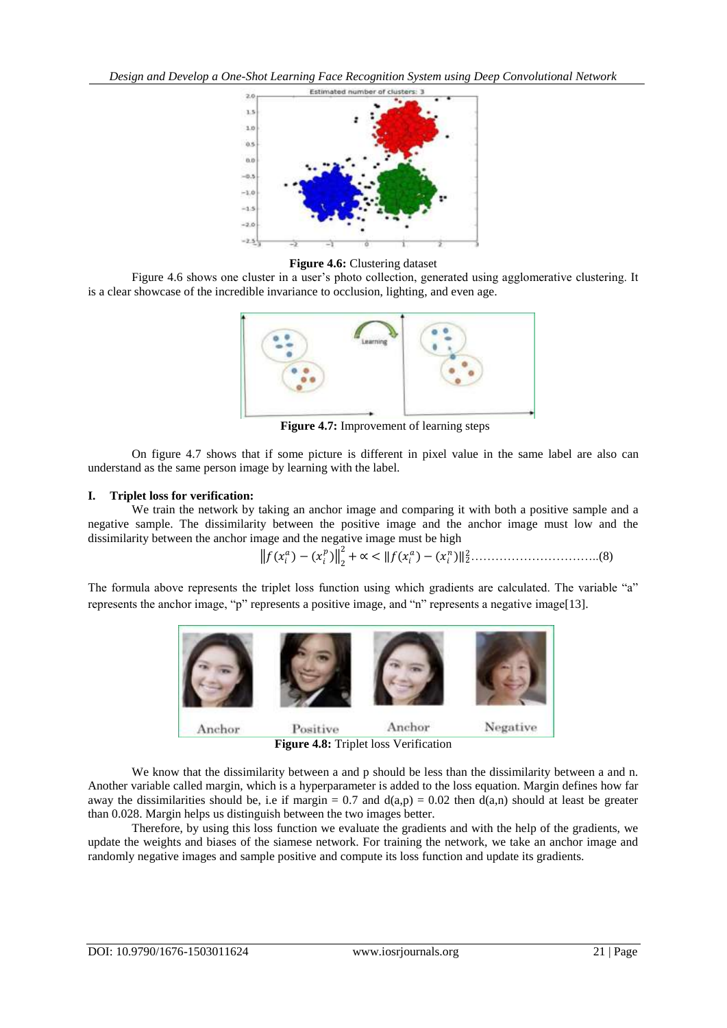

**Figure 4.6:** Clustering dataset

Figure 4.6 shows one cluster in a user's photo collection, generated using agglomerative clustering. It is a clear showcase of the incredible invariance to occlusion, lighting, and even age.



**Figure 4.7:** Improvement of learning steps

On figure 4.7 shows that if some picture is different in pixel value in the same label are also can understand as the same person image by learning with the label.

#### **I. Triplet loss for verification:**

We train the network by taking an anchor image and comparing it with both a positive sample and a negative sample. The dissimilarity between the positive image and the anchor image must low and the dissimilarity between the anchor image and the negative image must be high

 ( )−( ) 2 2 +∝ < − <sup>2</sup> <sup>2</sup>…………………………..(8)

The formula above represents the triplet loss function using which gradients are calculated. The variable "a" represents the anchor image, "p" represents a positive image, and "n" represents a negative image[13].



We know that the dissimilarity between a and p should be less than the dissimilarity between a and n. Another variable called margin, which is a hyperparameter is added to the loss equation. Margin defines how far away the dissimilarities should be, i.e if margin =  $0.7$  and  $d(a,p) = 0.02$  then  $d(a,n)$  should at least be greater than 0.028. Margin helps us distinguish between the two images better.

Therefore, by using this loss function we evaluate the gradients and with the help of the gradients, we update the weights and biases of the siamese network. For training the network, we take an anchor image and randomly negative images and sample positive and compute its loss function and update its gradients.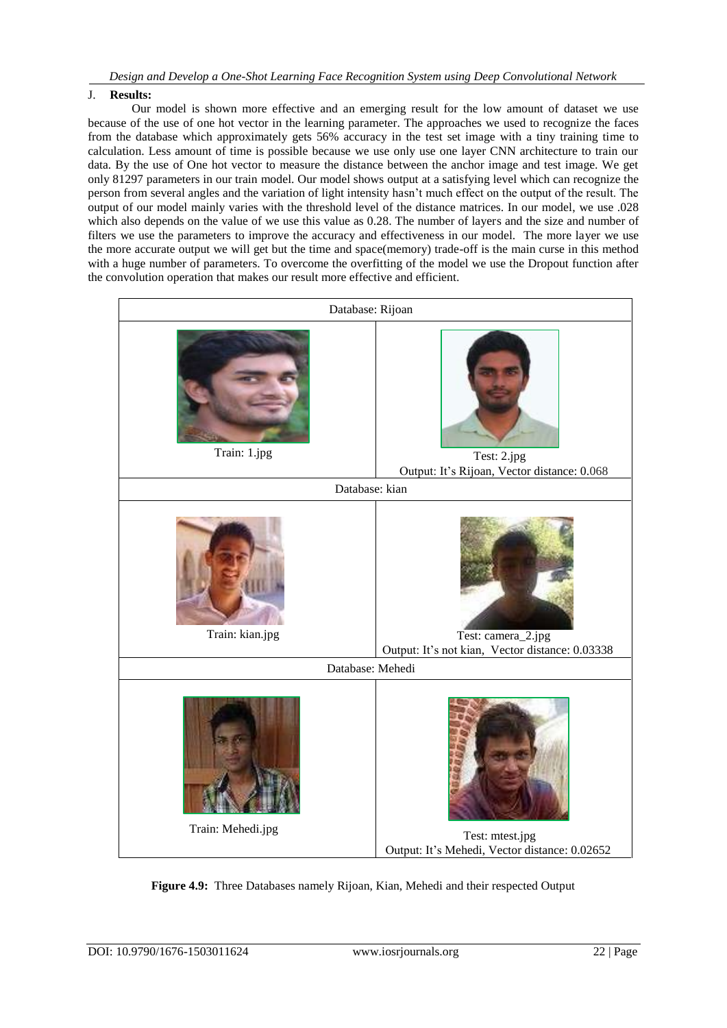# J. **Results:**

Our model is shown more effective and an emerging result for the low amount of dataset we use because of the use of one hot vector in the learning parameter. The approaches we used to recognize the faces from the database which approximately gets 56% accuracy in the test set image with a tiny training time to calculation. Less amount of time is possible because we use only use one layer CNN architecture to train our data. By the use of One hot vector to measure the distance between the anchor image and test image. We get only 81297 parameters in our train model. Our model shows output at a satisfying level which can recognize the person from several angles and the variation of light intensity hasn't much effect on the output of the result. The output of our model mainly varies with the threshold level of the distance matrices. In our model, we use .028 which also depends on the value of we use this value as 0.28. The number of layers and the size and number of filters we use the parameters to improve the accuracy and effectiveness in our model. The more layer we use the more accurate output we will get but the time and space(memory) trade-off is the main curse in this method with a huge number of parameters. To overcome the overfitting of the model we use the Dropout function after the convolution operation that makes our result more effective and efficient.



**Figure 4.9:** Three Databases namely Rijoan, Kian, Mehedi and their respected Output